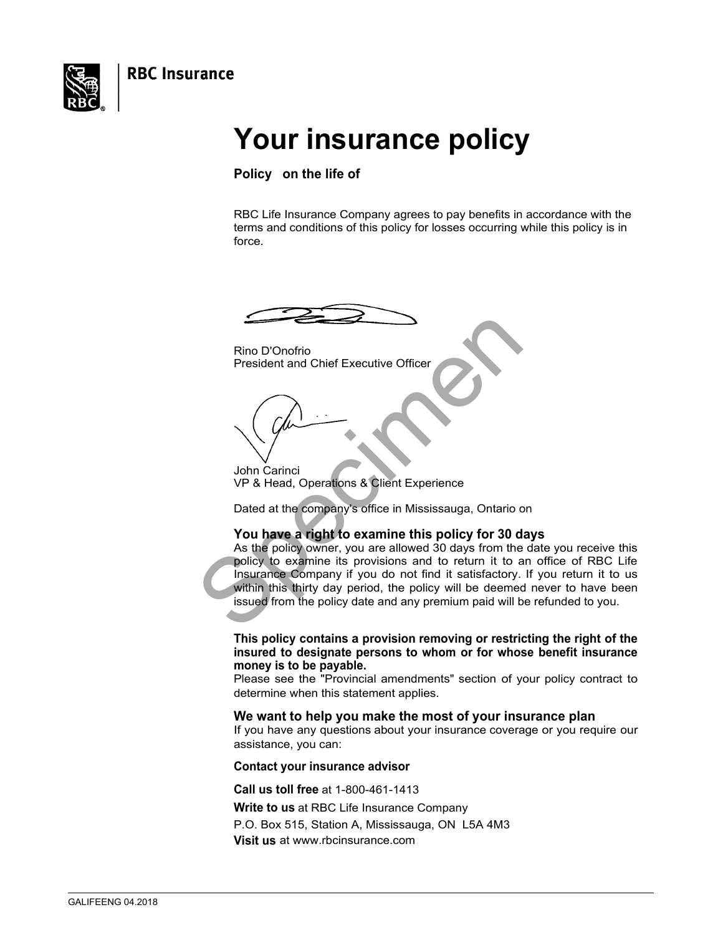**RBC Insurance** 

<span id="page-0-0"></span>

# **Your insurance policy**

**Policy on the life of** 

RBC Life Insurance Company agrees to pay benefits in accordance with the terms and conditions of this policy for losses occurring while this policy is in force.

Rino D'Onofrio President and Chief Executive Officer

John Carinci VP & Head, Operations & Client Experience

Dated at the company's office in Mississauga, Ontario on

### **You have a right to examine this policy for 30 days**

Rino D'Onofrio<br>
President and Chief Executive Officer<br>
UP & Head, Operations & Client Experience<br>
Dated at the company's office in Mississauga, Ontario c<br>
You have a right to examine this policy for 30 d<br>
As the policy own As the policy owner, you are allowed 30 days from the date you receive this policy to examine its provisions and to return it to an office of RBC Life Insurance Company if you do not find it satisfactory. If you return it to us within this thirty day period, the policy will be deemed never to have been issued from the policy date and any premium paid will be refunded to you.

**This policy contains a provision removing or restricting the right of the insured to designate persons to whom or for whose benefit insurance money is to be payable.** 

Please see the "Provincial amendments" section of your policy contract to determine when this statement applies.

#### **We want to help you make the most of your insurance plan**

If you have any questions about your insurance coverage or you require our assistance, you can:

#### **Contact your insurance advisor**

**Call us toll free** at 1-800-461-1413

**Write to us** at RBC Life Insurance Company P.O. Box 515, Station A, Mississauga, ON L5A 4M3

**Visit us** at<www.rbcinsurance.com>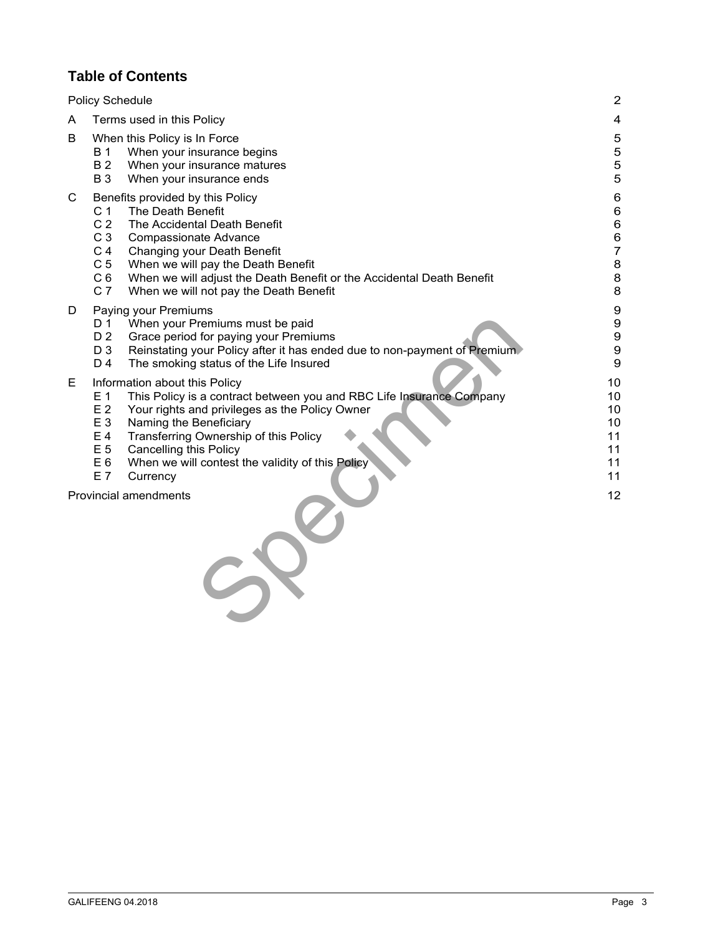### **Table of Contents**

| <b>Policy Schedule</b> |                                                                                                                            |                                                                                                                                                                                                                                                                                                                             | $\overline{2}$                                                                                   |
|------------------------|----------------------------------------------------------------------------------------------------------------------------|-----------------------------------------------------------------------------------------------------------------------------------------------------------------------------------------------------------------------------------------------------------------------------------------------------------------------------|--------------------------------------------------------------------------------------------------|
| A                      | Terms used in this Policy                                                                                                  |                                                                                                                                                                                                                                                                                                                             | $\overline{\mathbf{4}}$                                                                          |
| B                      | <b>B</b> 1<br><b>B2</b><br><b>B3</b>                                                                                       | When this Policy is In Force<br>When your insurance begins<br>When your insurance matures<br>When your insurance ends                                                                                                                                                                                                       | 5<br>5<br>5<br>5                                                                                 |
| C                      | C <sub>1</sub><br>C <sub>2</sub><br>C <sub>3</sub><br>C <sub>4</sub><br>C <sub>5</sub><br>C <sub>6</sub><br>C <sub>7</sub> | Benefits provided by this Policy<br>The Death Benefit<br>The Accidental Death Benefit<br><b>Compassionate Advance</b><br>Changing your Death Benefit<br>When we will pay the Death Benefit<br>When we will adjust the Death Benefit or the Accidental Death Benefit<br>When we will not pay the Death Benefit               | 6<br>$\,6$<br>$\,6$<br>$\,6$<br>$\overline{7}$<br>$\bf 8$<br>8<br>8                              |
| D                      | D 1<br>D <sub>2</sub><br>D <sub>3</sub><br>D 4                                                                             | Paying your Premiums<br>When your Premiums must be paid<br>Grace period for paying your Premiums<br>Reinstating your Policy after it has ended due to non-payment of Premium<br>The smoking status of the Life Insured                                                                                                      | $\boldsymbol{9}$<br>$\boldsymbol{9}$<br>$\boldsymbol{9}$<br>$\boldsymbol{9}$<br>$\boldsymbol{9}$ |
| Е                      | E 1<br>E <sub>2</sub><br>E 3<br>E 4<br>E 5<br>E <sub>6</sub><br>E 7                                                        | Information about this Policy<br>This Policy is a contract between you and RBC Life Insurance Company<br>Your rights and privileges as the Policy Owner<br>Naming the Beneficiary<br>Transferring Ownership of this Policy<br><b>Cancelling this Policy</b><br>When we will contest the validity of this Policy<br>Currency | 10<br>10<br>10<br>10<br>11<br>11<br>11<br>11                                                     |
|                        |                                                                                                                            | <b>Provincial amendments</b>                                                                                                                                                                                                                                                                                                | 12                                                                                               |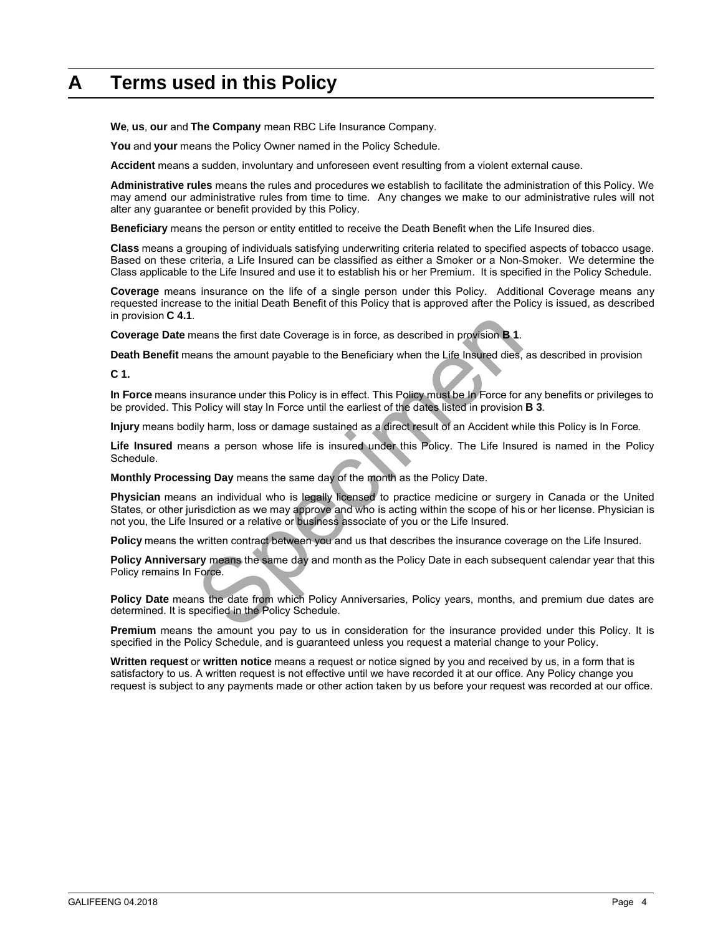# <span id="page-2-0"></span>**A Terms used in this Policy**

**We**, **us**, **our** and **The Company** mean RBC Life Insurance Company.

**You** and **your** means the Policy Owner named in the Policy Schedule.

**Accident** means a sudden, involuntary and unforeseen event resulting from a violent external cause.

**Administrative rules** means the rules and procedures we establish to facilitate the administration of this Policy. We may amend our administrative rules from time to time. Any changes we make to our administrative rules will not alter any guarantee or benefit provided by this Policy.

**Beneficiary** means the person or entity entitled to receive the Death Benefit when the Life Insured dies.

**Class** means a grouping of individuals satisfying underwriting criteria related to specified aspects of tobacco usage. Based on these criteria, a Life Insured can be classified as either a Smoker or a Non-Smoker. We determine the Class applicable to the Life Insured and use it to establish his or her Premium. It is specified in the Policy Schedule.

**Coverage** means insurance on the life of a single person under this Policy. Additional Coverage means any requested increase to the initial Death Benefit of this Policy that is approved after the Policy is issued, as described in provision **C 4.1**.

**Coverage Date** means the first date Coverage is in force, as described in provision **B 1**.

**Death Benefit** means the amount payable to the Beneficiary when the Life Insured dies, as described in provision

**C 1.** 

**In Force** means insurance under this Policy is in effect. This Policy must be In Force for any benefits or privileges to be provided. This Policy will stay In Force until the earliest of the dates listed in provision **B 3**.

**Injury** means bodily harm, loss or damage sustained as a direct result of an Accident while this Policy is In Force.

**Life Insured** means a person whose life is insured under this Policy. The Life Insured is named in the Policy Schedule.

**Monthly Processing Day** means the same day of the month as the Policy Date.

neans the first date Coverage is in force, as described in provision **B 1**.<br>
Share the amount payable to the Beneficiary when the Life Insured dies,<br>
Insurance under this Policy is in effect. This Policy must be In Force f **Physician** means an individual who is legally licensed to practice medicine or surgery in Canada or the United States, or other jurisdiction as we may approve and who is acting within the scope of his or her license. Physician is not you, the Life Insured or a relative or business associate of you or the Life Insured.

**Policy** means the written contract between you and us that describes the insurance coverage on the Life Insured.

**Policy Anniversary** means the same day and month as the Policy Date in each subsequent calendar year that this Policy remains In Force.

Policy Date means the date from which Policy Anniversaries, Policy years, months, and premium due dates are determined. It is specified in the Policy Schedule.

**Premium** means the amount you pay to us in consideration for the insurance provided under this Policy. It is specified in the Policy Schedule, and is guaranteed unless you request a material change to your Policy.

**Written request** or **written notice** means a request or notice signed by you and received by us, in a form that is satisfactory to us. A written request is not effective until we have recorded it at our office. Any Policy change you request is subject to any payments made or other action taken by us before your request was recorded at our office.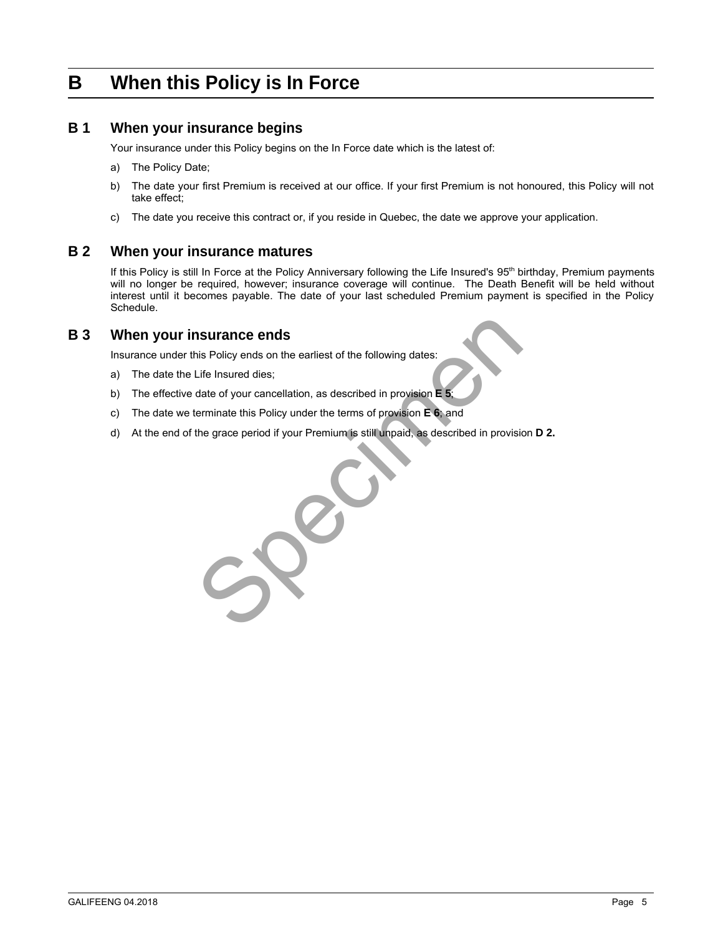## <span id="page-3-0"></span>**B When this Policy is In Force**

#### **B 1 When your insurance begins**

Your insurance under this Policy begins on the In Force date which is the latest of:

- a) The Policy Date;
- b) The date your first Premium is received at our office. If your first Premium is not honoured, this Policy will not take effect;
- c) The date you receive this contract or, if you reside in Quebec, the date we approve your application.

#### **B 2 When your insurance matures**

If this Policy is still In Force at the Policy Anniversary following the Life Insured's 95<sup>th</sup> birthday, Premium payments will no longer be required, however; insurance coverage will continue. The Death Benefit will be held without interest until it becomes payable. The date of your last scheduled Premium payment is specified in the Policy Schedule.

#### **B 3 When your insurance ends**

Insurance under this Policy ends on the earliest of the following dates:

- a) The date the Life Insured dies;
- b) The effective date of your cancellation, as described in provision **E 5**;
- c) The date we terminate this Policy under the terms of provision **E 6**; and
- d) At the end of the grace period if your Premium is still unpaid, as described in provision **D 2.**

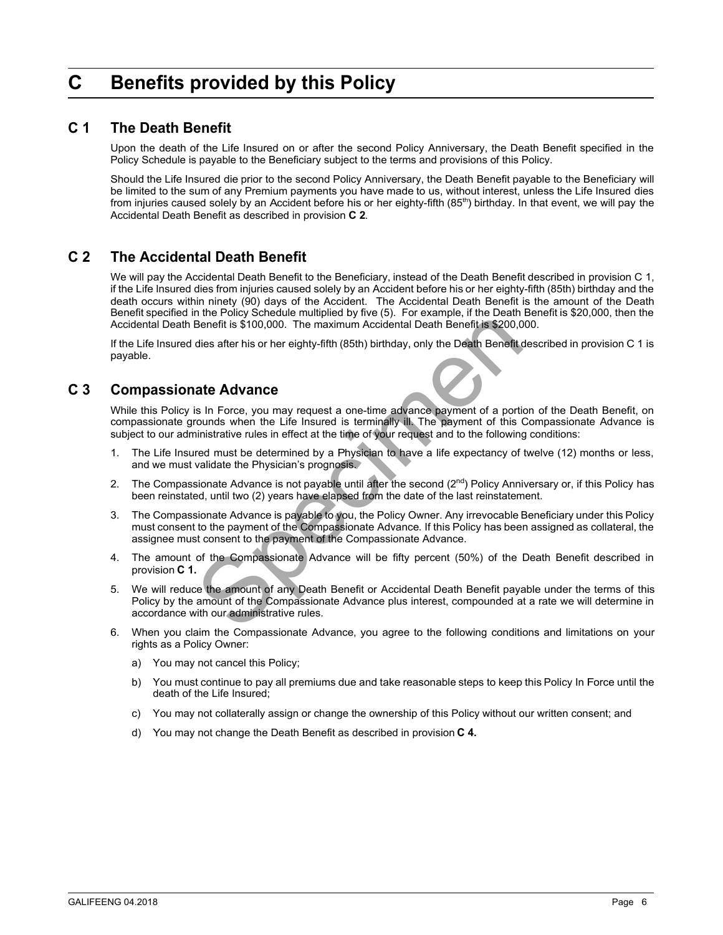# <span id="page-4-0"></span>**C Benefits provided by this Policy**

#### **C 1 The Death Benefit**

Upon the death of the Life Insured on or after the second Policy Anniversary, the Death Benefit specified in the Policy Schedule is payable to the Beneficiary subject to the terms and provisions of this Policy.

Should the Life Insured die prior to the second Policy Anniversary, the Death Benefit payable to the Beneficiary will be limited to the sum of any Premium payments you have made to us, without interest, unless the Life Insured dies from injuries caused solely by an Accident before his or her eighty-fifth (85<sup>th</sup>) birthday. In that event, we will pay the Accidental Death Benefit as described in provision **C 2**.

### **C 2 The Accidental Death Benefit**

We will pay the Accidental Death Benefit to the Beneficiary, instead of the Death Benefit described in provision C 1, if the Life Insured dies from injuries caused solely by an Accident before his or her eighty-fifth (85th) birthday and the death occurs within ninety (90) days of the Accident. The Accidental Death Benefit is the amount of the Death Benefit specified in the Policy Schedule multiplied by five (5). For example, if the Death Benefit is \$20,000, then the Accidental Death Benefit is \$100,000. The maximum Accidental Death Benefit is \$200,000.

If the Life Insured dies after his or her eighty-fifth (85th) birthday, only the Death Benefit described in provision C 1 is payable.

### **C 3 Compassionate Advance**

While this Policy is In Force, you may request a one-time advance payment of a portion of the Death Benefit, on compassionate grounds when the Life Insured is terminally ill. The payment of this Compassionate Advance is subject to our administrative rules in effect at the time of your request and to the following conditions:

- 1. The Life Insured must be determined by a Physician to have a life expectancy of twelve (12) months or less, and we must validate the Physician's prognosis.
- 2. The Compassionate Advance is not payable until after the second (2<sup>nd</sup>) Policy Anniversary or, if this Policy has been reinstated, until two (2) years have elapsed from the date of the last reinstatement.
- 3. The Compassionate Advance is payable to you, the Policy Owner. Any irrevocable Beneficiary under this Policy must consent to the payment of the Compassionate Advance. If this Policy has been assigned as collateral, the assignee must consent to the payment of the Compassionate Advance.
- 4. The amount of the Compassionate Advance will be fifty percent (50%) of the Death Benefit described in provision **C 1.**
- There is \$100,000. The maximum Accidental Death Benefit is \$200,0<br>Benefit is \$100,000. The maximum Accidental Death Benefit is \$200,0<br>dies after his or her eighty-fifth (85th) birthday, only the Death Benefit<br>state **Advanc** 5. We will reduce the amount of any Death Benefit or Accidental Death Benefit payable under the terms of this Policy by the amount of the Compassionate Advance plus interest, compounded at a rate we will determine in accordance with our administrative rules.
- 6. When you claim the Compassionate Advance, you agree to the following conditions and limitations on your rights as a Policy Owner:
	- a) You may not cancel this Policy;
	- b) You must continue to pay all premiums due and take reasonable steps to keep this Policy In Force until the death of the Life Insured;
	- c) You may not collaterally assign or change the ownership of this Policy without our written consent; and
	- d) You may not change the Death Benefit as described in provision **C 4.**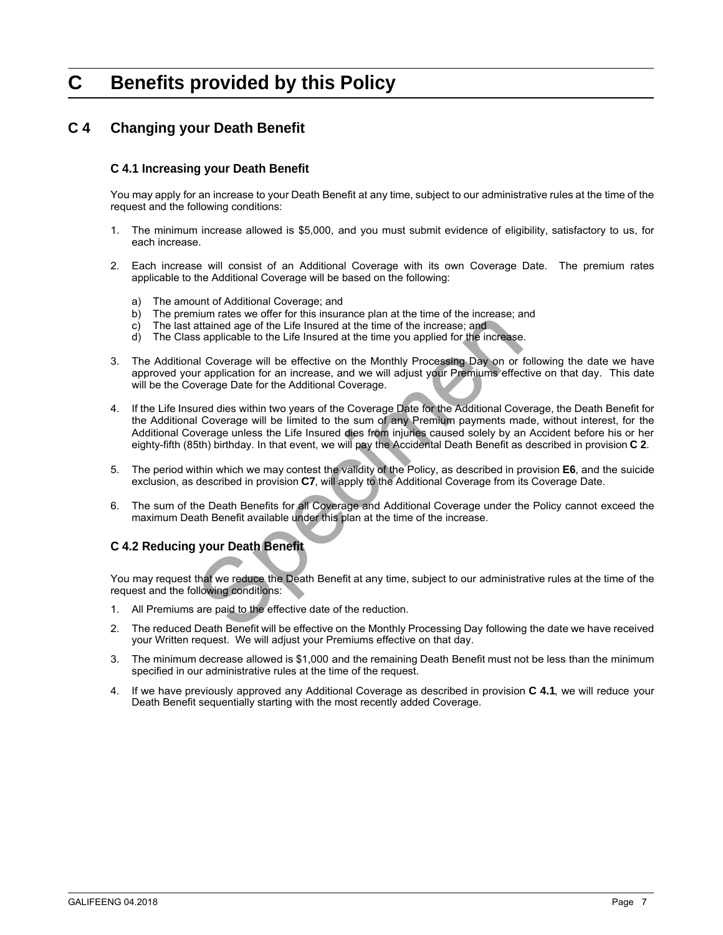# <span id="page-5-0"></span>**C Benefits provided by this Policy**

### **C 4 Changing your Death Benefit**

#### **C 4.1 Increasing your Death Benefit**

You may apply for an increase to your Death Benefit at any time, subject to our administrative rules at the time of the request and the following conditions:

- 1. The minimum increase allowed is \$5,000, and you must submit evidence of eligibility, satisfactory to us, for each increase.
- 2. Each increase will consist of an Additional Coverage with its own Coverage Date. The premium rates applicable to the Additional Coverage will be based on the following:
	- a) The amount of Additional Coverage; and
	- b) The premium rates we offer for this insurance plan at the time of the increase; and
	- c) The last attained age of the Life Insured at the time of the increase; and d) The Class applicable to the Life Insured at the time you applied for the in
	- The Class applicable to the Life Insured at the time you applied for the increase.
- 3. The Additional Coverage will be effective on the Monthly Processing Day on or following the date we have approved your application for an increase, and we will adjust your Premiums effective on that day. This date will be the Coverage Date for the Additional Coverage.
- metrical and of the Life Insural charge and Additional charge paid to the effective on the Monthly Processing Day on or an increase and Coverage will be effective on the Monthly Processing Day on or ar application for an i 4. If the Life Insured dies within two years of the Coverage Date for the Additional Coverage, the Death Benefit for the Additional Coverage will be limited to the sum of any Premium payments made, without interest, for the Additional Coverage unless the Life Insured dies from injuries caused solely by an Accident before his or her eighty-fifth (85th) birthday. In that event, we will pay the Accidental Death Benefit as described in provision **C 2**.
- 5. The period within which we may contest the validity of the Policy, as described in provision **E6**, and the suicide exclusion, as described in provision **C7**, will apply to the Additional Coverage from its Coverage Date.
- 6. The sum of the Death Benefits for all Coverage and Additional Coverage under the Policy cannot exceed the maximum Death Benefit available under this plan at the time of the increase.

#### **C 4.2 Reducing your Death Benefit**

You may request that we reduce the Death Benefit at any time, subject to our administrative rules at the time of the request and the following conditions:

- 1. All Premiums are paid to the effective date of the reduction.
- 2. The reduced Death Benefit will be effective on the Monthly Processing Day following the date we have received your Written request. We will adjust your Premiums effective on that day.
- 3. The minimum decrease allowed is \$1,000 and the remaining Death Benefit must not be less than the minimum specified in our administrative rules at the time of the request.
- 4. If we have previously approved any Additional Coverage as described in provision **C 4.1**, we will reduce your Death Benefit sequentially starting with the most recently added Coverage.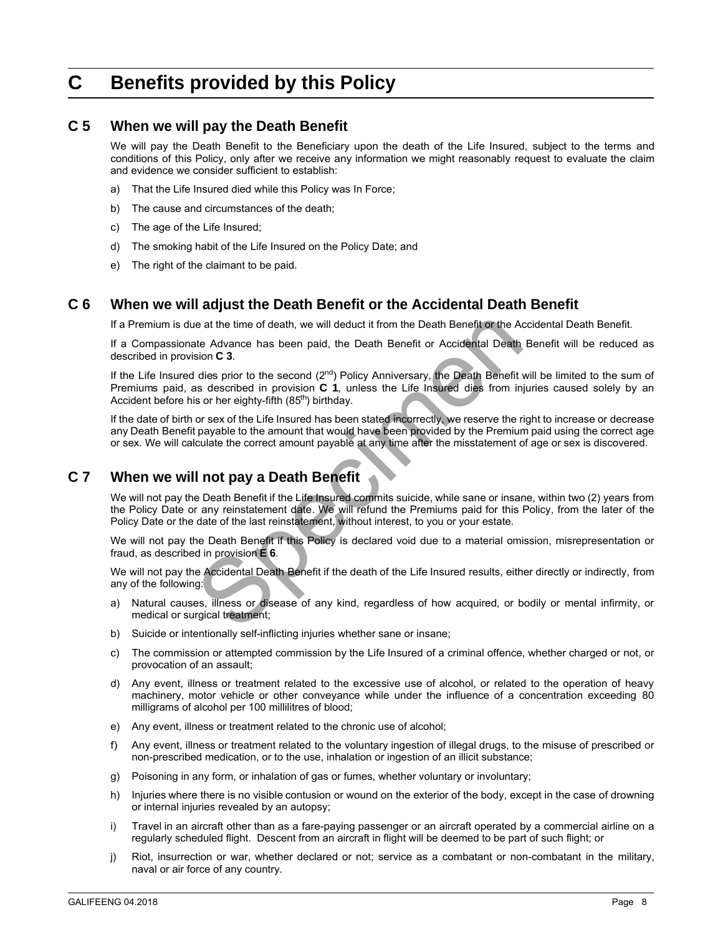# <span id="page-6-0"></span>**C Benefits provided by this Policy**

#### **C 5 When we will pay the Death Benefit**

We will pay the Death Benefit to the Beneficiary upon the death of the Life Insured, subject to the terms and conditions of this Policy, only after we receive any information we might reasonably request to evaluate the claim and evidence we consider sufficient to establish:

- a) That the Life Insured died while this Policy was In Force;
- b) The cause and circumstances of the death;
- c) The age of the Life Insured;
- d) The smoking habit of the Life Insured on the Policy Date; and
- e) The right of the claimant to be paid.

#### **C 6 When we will adjust the Death Benefit or the Accidental Death Benefit**

If a Premium is due at the time of death, we will deduct it from the Death Benefit or the Accidental Death Benefit.

If a Compassionate Advance has been paid, the Death Benefit or Accidental Death Benefit will be reduced as described in provision **C 3**.

e at the time of death, we will deduct it from the Death Benefit or the Acta<br>the Advance has been paid, the Death Benefit or Accidental Death<br>sion C 3.<br>dies prior to the second (2<sup>nd</sup>) Policy Anniversary, the Death Benefit If the Life Insured dies prior to the second  $(2^{nd})$  Policy Anniversary, the Death Benefit will be limited to the sum of Premiums paid, as described in provision **C 1**, unless the Life Insured dies from injuries caused solely by an Accident before his or her eighty-fifth (85<sup>th</sup>) birthday.

If the date of birth or sex of the Life Insured has been stated incorrectly, we reserve the right to increase or decrease any Death Benefit payable to the amount that would have been provided by the Premium paid using the correct age or sex. We will calculate the correct amount payable at any time after the misstatement of age or sex is discovered.

### **C 7 When we will not pay a Death Benefit**

We will not pay the Death Benefit if the Life Insured commits suicide, while sane or insane, within two (2) years from the Policy Date or any reinstatement date. We will refund the Premiums paid for this Policy, from the later of the Policy Date or the date of the last reinstatement, without interest, to you or your estate.

We will not pay the Death Benefit if this Policy is declared void due to a material omission, misrepresentation or fraud, as described in provision **E 6**.

We will not pay the Accidental Death Benefit if the death of the Life Insured results, either directly or indirectly, from any of the following:

- a) Natural causes, illness or disease of any kind, regardless of how acquired, or bodily or mental infirmity, or medical or surgical treatment;
- b) Suicide or intentionally self-inflicting injuries whether sane or insane;
- c) The commission or attempted commission by the Life Insured of a criminal offence, whether charged or not, or provocation of an assault;
- d) Any event, illness or treatment related to the excessive use of alcohol, or related to the operation of heavy machinery, motor vehicle or other conveyance while under the influence of a concentration exceeding 80 milligrams of alcohol per 100 millilitres of blood;
- e) Any event, illness or treatment related to the chronic use of alcohol;
- f) Any event, illness or treatment related to the voluntary ingestion of illegal drugs, to the misuse of prescribed or non-prescribed medication, or to the use, inhalation or ingestion of an illicit substance;
- g) Poisoning in any form, or inhalation of gas or fumes, whether voluntary or involuntary;
- h) Injuries where there is no visible contusion or wound on the exterior of the body, except in the case of drowning or internal injuries revealed by an autopsy;
- i) Travel in an aircraft other than as a fare-paying passenger or an aircraft operated by a commercial airline on a regularly scheduled flight. Descent from an aircraft in flight will be deemed to be part of such flight; or
- j) Riot, insurrection or war, whether declared or not; service as a combatant or non-combatant in the military, naval or air force of any country.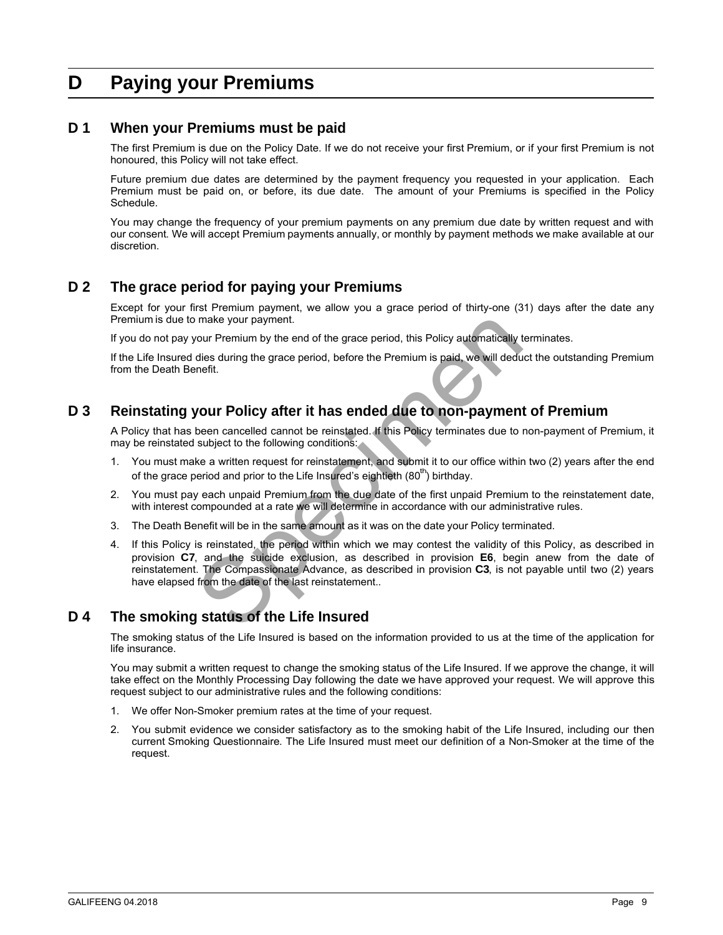# <span id="page-7-0"></span>**D Paying your Premiums**

#### **D 1 When your Premiums must be paid**

The first Premium is due on the Policy Date. If we do not receive your first Premium, or if your first Premium is not honoured, this Policy will not take effect.

Future premium due dates are determined by the payment frequency you requested in your application. Each Premium must be paid on, or before, its due date. The amount of your Premiums is specified in the Policy Schedule.

You may change the frequency of your premium payments on any premium due date by written request and with our consent. We will accept Premium payments annually, or monthly by payment methods we make available at our discretion.

### **D 2 The grace period for paying your Premiums**

Except for your first Premium payment, we allow you a grace period of thirty-one (31) days after the date any Premium is due to make your payment.

If you do not pay your Premium by the end of the grace period, this Policy automatically terminates.

If the Life Insured dies during the grace period, before the Premium is paid, we will deduct the outstanding Premium from the Death Benefit.

### **D 3 Reinstating your Policy after it has ended due to non-payment of Premium**

A Policy that has been cancelled cannot be reinstated. If this Policy terminates due to non-payment of Premium, it may be reinstated subject to the following conditions:

- 1. You must make a written request for reinstatement, and submit it to our office within two (2) years after the end of the grace period and prior to the Life Insured's eightieth (80<sup>th</sup>) birthday.
- 2. You must pay each unpaid Premium from the due date of the first unpaid Premium to the reinstatement date, with interest compounded at a rate we will determine in accordance with our administrative rules.
- 3. The Death Benefit will be in the same amount as it was on the date your Policy terminated.
- make your payment.<br>
Your Premium by the end of the grace period, this Policy automatically dies during the grace period, before the Premium is paid, we will dedu<br>
enefit.<br>
Speciment the grace period, before the Premium is 4. If this Policy is reinstated, the period within which we may contest the validity of this Policy, as described in provision **C7**, and the suicide exclusion, as described in provision **E6**, begin anew from the date of reinstatement. The Compassionate Advance, as described in provision **C3**, is not payable until two (2) years have elapsed from the date of the last reinstatement..

### **D 4 The smoking status of the Life Insured**

The smoking status of the Life Insured is based on the information provided to us at the time of the application for life insurance.

You may submit a written request to change the smoking status of the Life Insured. If we approve the change, it will take effect on the Monthly Processing Day following the date we have approved your request. We will approve this request subject to our administrative rules and the following conditions:

- 1. We offer Non-Smoker premium rates at the time of your request.
- 2. You submit evidence we consider satisfactory as to the smoking habit of the Life Insured, including our then current Smoking Questionnaire. The Life Insured must meet our definition of a Non-Smoker at the time of the request.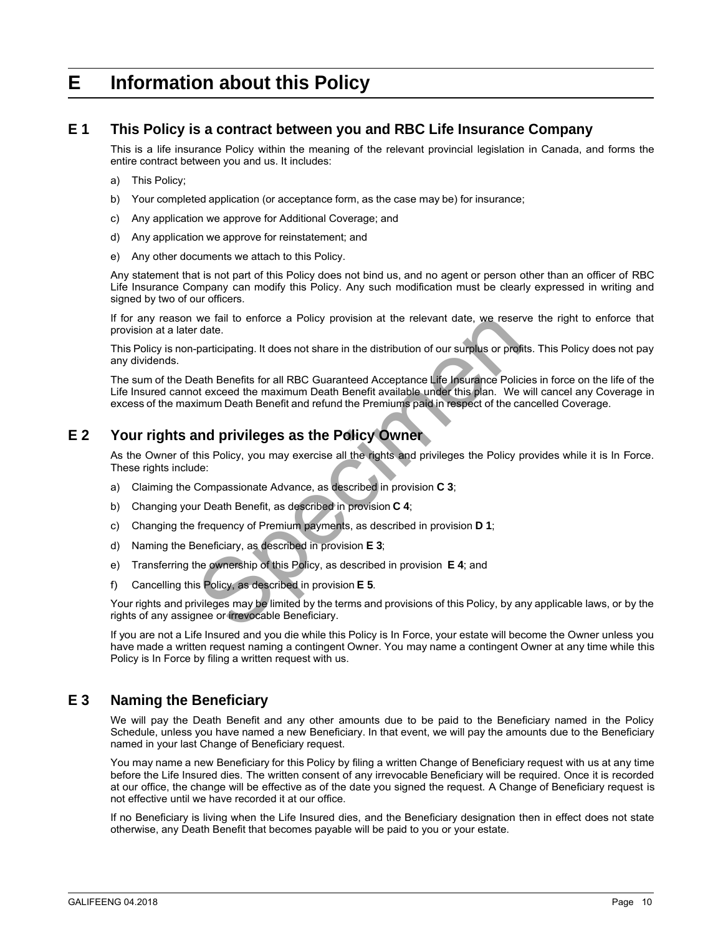### <span id="page-8-0"></span>**E Information about this Policy**

#### **E 1 This Policy is a contract between you and RBC Life Insurance Company**

This is a life insurance Policy within the meaning of the relevant provincial legislation in Canada, and forms the entire contract between you and us. It includes:

- a) This Policy;
- b) Your completed application (or acceptance form, as the case may be) for insurance;
- c) Any application we approve for Additional Coverage; and
- d) Any application we approve for reinstatement; and
- e) Any other documents we attach to this Policy.

Any statement that is not part of this Policy does not bind us, and no agent or person other than an officer of RBC Life Insurance Company can modify this Policy. Any such modification must be clearly expressed in writing and signed by two of our officers.

If for any reason we fail to enforce a Policy provision at the relevant date, we reserve the right to enforce that provision at a later date.

This Policy is non-participating. It does not share in the distribution of our surplus or profits. This Policy does not pay any dividends.

we fail to enforce a Policy provision at the relevant date, we reser<br>redate.<br>participating. It does not share in the distribution of our surplus or profie<br>ath Benefits for all RBC Guaranteed Acceptance Life Insurance Polic The sum of the Death Benefits for all RBC Guaranteed Acceptance Life Insurance Policies in force on the life of the Life Insured cannot exceed the maximum Death Benefit available under this plan. We will cancel any Coverage in excess of the maximum Death Benefit and refund the Premiums paid in respect of the cancelled Coverage.

### **E 2 Your rights and privileges as the Policy Owner**

As the Owner of this Policy, you may exercise all the rights and privileges the Policy provides while it is In Force. These rights include:

- a) Claiming the Compassionate Advance, as described in provision **C 3**;
- b) Changing your Death Benefit, as described in provision **C 4**;
- c) Changing the frequency of Premium payments, as described in provision **D 1**;
- d) Naming the Beneficiary, as described in provision **E 3**;
- e) Transferring the ownership of this Policy, as described in provision **E 4**; and
- f) Cancelling this Policy, as described in provision **E 5**.

Your rights and privileges may be limited by the terms and provisions of this Policy, by any applicable laws, or by the rights of any assignee or irrevocable Beneficiary.

If you are not a Life Insured and you die while this Policy is In Force, your estate will become the Owner unless you have made a written request naming a contingent Owner. You may name a contingent Owner at any time while this Policy is In Force by filing a written request with us.

### **E 3 Naming the Beneficiary**

We will pay the Death Benefit and any other amounts due to be paid to the Beneficiary named in the Policy Schedule, unless you have named a new Beneficiary. In that event, we will pay the amounts due to the Beneficiary named in your last Change of Beneficiary request.

You may name a new Beneficiary for this Policy by filing a written Change of Beneficiary request with us at any time before the Life Insured dies. The written consent of any irrevocable Beneficiary will be required. Once it is recorded at our office, the change will be effective as of the date you signed the request. A Change of Beneficiary request is not effective until we have recorded it at our office.

If no Beneficiary is living when the Life Insured dies, and the Beneficiary designation then in effect does not state otherwise, any Death Benefit that becomes payable will be paid to you or your estate.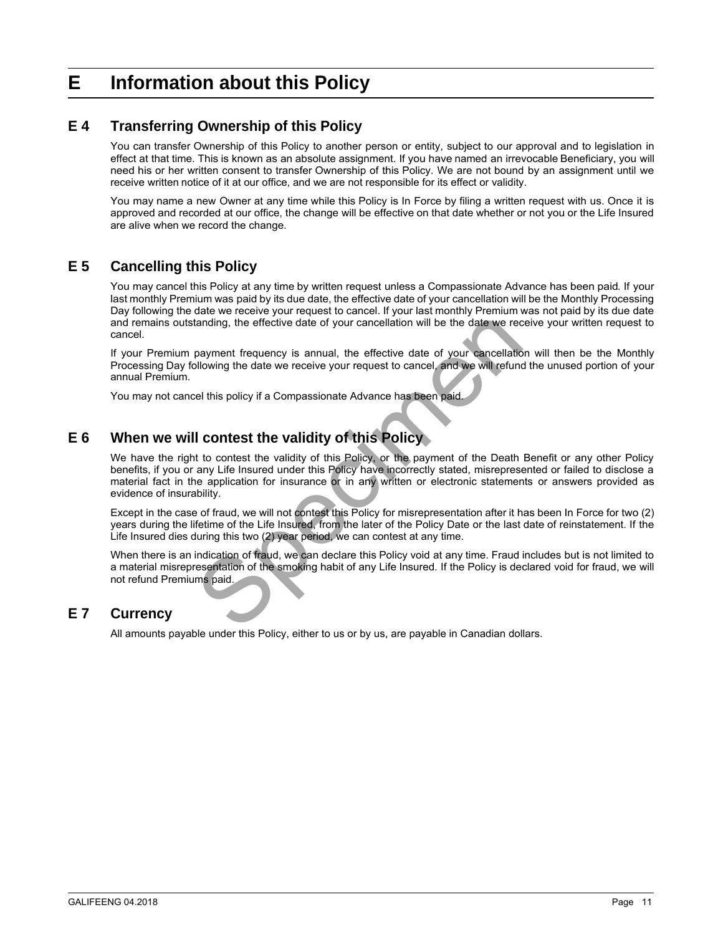# <span id="page-9-0"></span>**E Information about this Policy**

### **E 4 Transferring Ownership of this Policy**

You can transfer Ownership of this Policy to another person or entity, subject to our approval and to legislation in effect at that time. This is known as an absolute assignment. If you have named an irrevocable Beneficiary, you will need his or her written consent to transfer Ownership of this Policy. We are not bound by an assignment until we receive written notice of it at our office, and we are not responsible for its effect or validity.

You may name a new Owner at any time while this Policy is In Force by filing a written request with us. Once it is approved and recorded at our office, the change will be effective on that date whether or not you or the Life Insured are alive when we record the change.

### **E 5 Cancelling this Policy**

You may cancel this Policy at any time by written request unless a Compassionate Advance has been paid. If your last monthly Premium was paid by its due date, the effective date of your cancellation will be the Monthly Processing Day following the date we receive your request to cancel. If your last monthly Premium was not paid by its due date and remains outstanding, the effective date of your cancellation will be the date we receive your written request to cancel.

If your Premium payment frequency is annual, the effective date of your cancellation will then be the Monthly Processing Day following the date we receive your request to cancel, and we will refund the unused portion of your annual Premium.

You may not cancel this policy if a Compassionate Advance has been paid

### **E 6 When we will contest the validity of this Policy**

tanding, the effective date of your cancellation will be the date we receive payment frequency is annual, the effective date of your cancellation conserved in the effective date of your cancellation conserved in the specie We have the right to contest the validity of this Policy, or the payment of the Death Benefit or any other Policy benefits, if you or any Life Insured under this Policy have incorrectly stated, misrepresented or failed to disclose a material fact in the application for insurance or in any written or electronic statements or answers provided as evidence of insurability.

Except in the case of fraud, we will not contest this Policy for misrepresentation after it has been In Force for two (2) years during the lifetime of the Life Insured, from the later of the Policy Date or the last date of reinstatement. If the Life Insured dies during this two (2) year period, we can contest at any time.

When there is an indication of fraud, we can declare this Policy void at any time. Fraud includes but is not limited to a material misrepresentation of the smoking habit of any Life Insured. If the Policy is declared void for fraud, we will not refund Premiums paid.

#### **E 7 Currency**

All amounts payable under this Policy, either to us or by us, are payable in Canadian dollars.